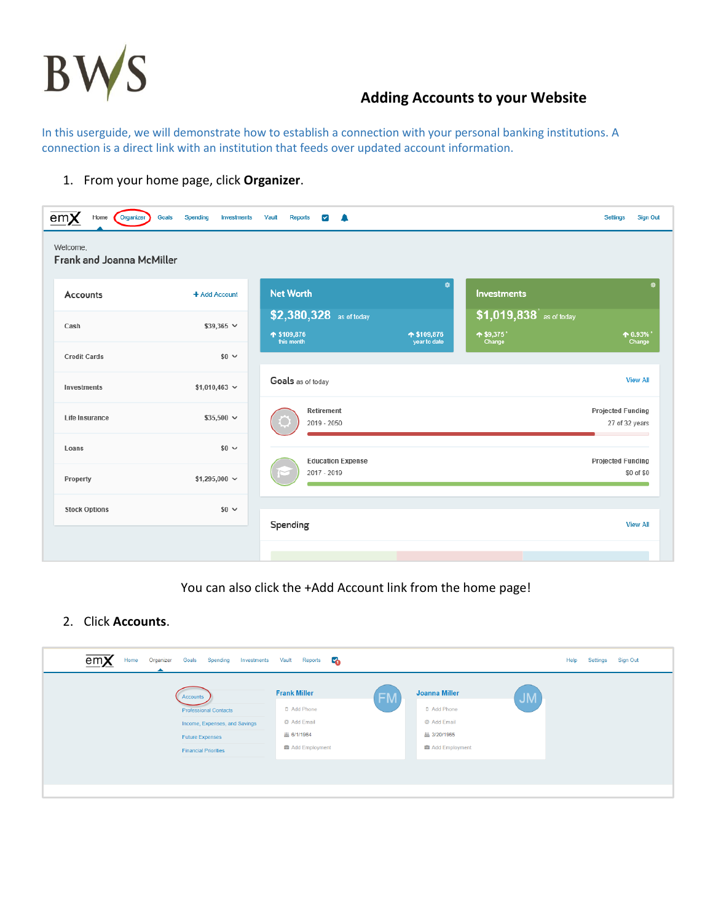

In this userguide, we will demonstrate how to establish a connection with your personal banking institutions. A connection is a direct link with an institution that feeds over updated account information.

1. From your home page, click **Organizer**.

| em <b>X</b><br>Home<br>Organizer<br>Welcome,<br>Frank and Joanna McMiller | Goals<br>Spending<br><b>Investments</b> | Vault<br><b>Reports</b><br>$\blacktriangledown$<br>$\blacksquare$ |              |                                       | <b>Settings</b><br><b>Sign Out</b>         |
|---------------------------------------------------------------------------|-----------------------------------------|-------------------------------------------------------------------|--------------|---------------------------------------|--------------------------------------------|
| Accounts                                                                  | + Add Account                           | <b>Net Worth</b>                                                  | ٠            | Investments                           | ö                                          |
| Cash                                                                      | $$39,365$ $\vee$                        | $$2,380,328$ as of today<br>↑ \$109,876                           | ↑ \$109,876  | \$1,019,838 as of today<br>$+ $9,375$ | $+ 0.93\%$                                 |
| <b>Credit Cards</b>                                                       | $$0 \sim$                               | this month                                                        | year to date | Change                                | Change                                     |
| Investments                                                               | $$1,010,463$ $\vee$                     | Goals as of today                                                 |              |                                       | <b>View All</b>                            |
| Life Insurance                                                            | $$35,500 \sim$                          | Retirement<br>2019 - 2050                                         |              |                                       | <b>Projected Funding</b><br>27 of 32 years |
| Loans                                                                     | $$0 \sim$                               | <b>Education Expense</b>                                          |              |                                       | <b>Projected Funding</b>                   |
| Property                                                                  | \$1,295,000 $\sim$                      | 2017 - 2019                                                       |              |                                       | \$0 of \$0                                 |
| <b>Stock Options</b>                                                      | $$0 \sim$                               |                                                                   |              |                                       |                                            |
|                                                                           |                                         | Spending                                                          |              |                                       | <b>View All</b>                            |

#### You can also click the +Add Account link from the home page!

#### 2. Click **Accounts**.

| em<br>Home<br>Organizer<br>Spending<br>Goals<br>Investments | E.<br>Reports<br>Vault |           |                      |           | Help<br>Settings | Sign Out |
|-------------------------------------------------------------|------------------------|-----------|----------------------|-----------|------------------|----------|
| Accounts                                                    | <b>Frank Miller</b>    | <b>FM</b> | <b>Joanna Miller</b> | <b>JM</b> |                  |          |
| <b>Professional Contacts</b>                                | D Add Phone            |           | D Add Phone          |           |                  |          |
| Income, Expenses, and Savings                               | @ Add Email            |           | @ Add Email          |           |                  |          |
| <b>Future Expenses</b>                                      | 丛 6/1/1964             |           | 丛 3/20/1965          |           |                  |          |
| <b>Financial Priorities</b>                                 | Add Employment         |           | Add Employment       |           |                  |          |
|                                                             |                        |           |                      |           |                  |          |
|                                                             |                        |           |                      |           |                  |          |
|                                                             |                        |           |                      |           |                  |          |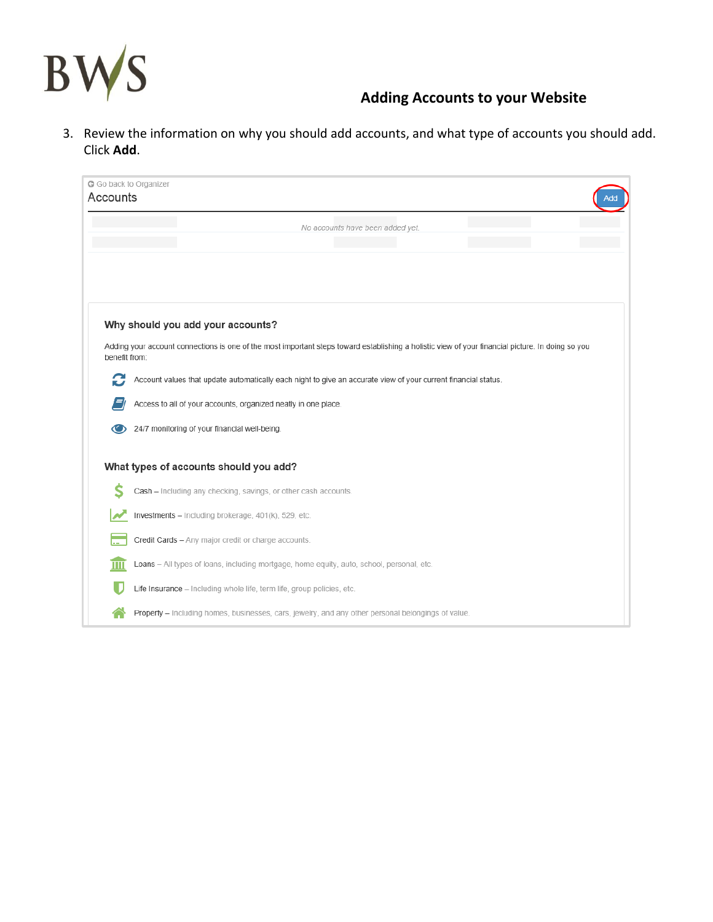

3. Review the information on why you should add accounts, and what type of accounts you should add. Click **Add**.

| G Go back to Organizer<br>Accounts | ١dd                                                                                                                                               |
|------------------------------------|---------------------------------------------------------------------------------------------------------------------------------------------------|
|                                    | No accounts have been added yet.                                                                                                                  |
|                                    |                                                                                                                                                   |
|                                    |                                                                                                                                                   |
|                                    |                                                                                                                                                   |
|                                    | Why should you add your accounts?                                                                                                                 |
| benefit from:                      | Adding your account connections is one of the most important steps toward establishing a holistic view of your financial picture. In doing so you |
| C                                  | Account values that update automatically each night to give an accurate view of your current financial status.                                    |
|                                    | Access to all of your accounts, organized neatly in one place.                                                                                    |
|                                    | 24/7 monitoring of your financial well-being.                                                                                                     |
|                                    | What types of accounts should you add?                                                                                                            |
|                                    | Cash - Including any checking, savings, or other cash accounts.                                                                                   |
|                                    | Investments - Including brokerage, 401(k), 529, etc.                                                                                              |
|                                    | Credit Cards - Any major credit or charge accounts.                                                                                               |
|                                    |                                                                                                                                                   |
| Ш                                  | Loans - All types of loans, including mortgage, home equity, auto, school, personal, etc.                                                         |
|                                    | Life Insurance - Including whole life, term life, group policies, etc.                                                                            |
|                                    | Property - Including homes, businesses, cars, jewelry, and any other personal belongings of value.                                                |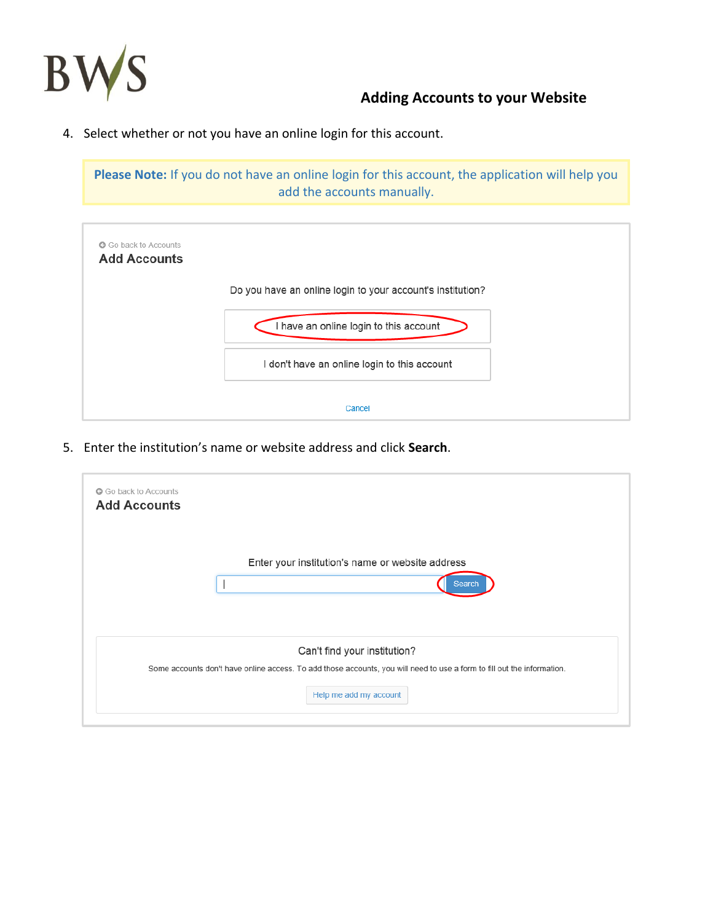

4. Select whether or not you have an online login for this account.

**Please Note:** If you do not have an online login for this account, the application will help you add the accounts manually.



5. Enter the institution's name or website address and click **Search**.

| <b>Add Accounts</b> | G Go back to Accounts                                                                                                   |
|---------------------|-------------------------------------------------------------------------------------------------------------------------|
|                     | Enter your institution's name or website address<br>Search                                                              |
|                     | Can't find your institution?                                                                                            |
|                     | Some accounts don't have online access. To add those accounts, you will need to use a form to fill out the information. |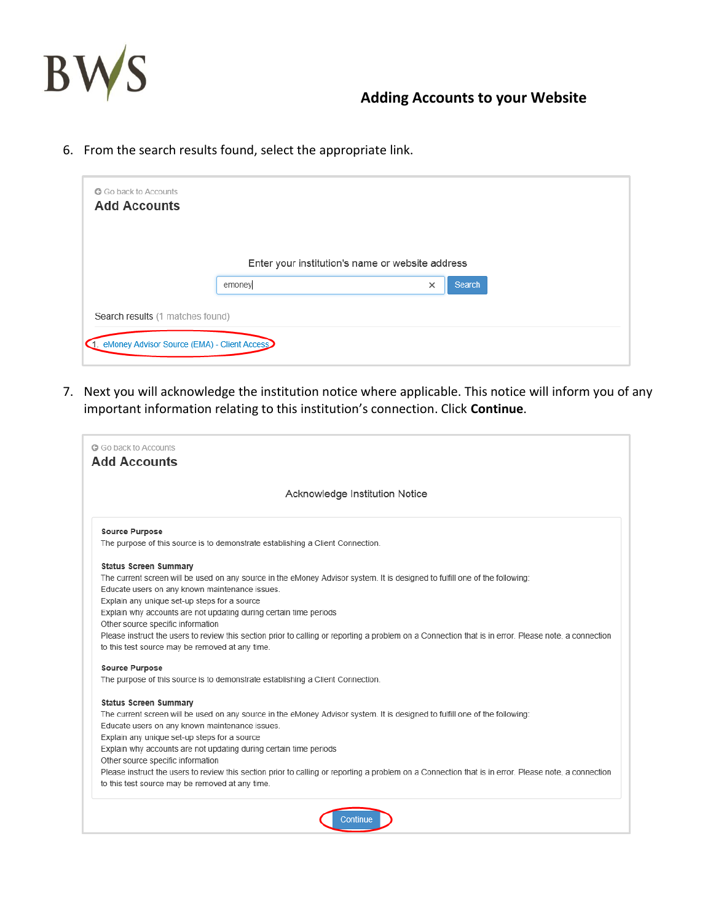

6. From the search results found, select the appropriate link.

| G Go back to Accounts<br><b>Add Accounts</b>                                       |                                                  |          |        |
|------------------------------------------------------------------------------------|--------------------------------------------------|----------|--------|
|                                                                                    | Enter your institution's name or website address |          |        |
|                                                                                    | emoney                                           | $\times$ | Search |
| Search results (1 matches found)<br>1. eMoney Advisor Source (EMA) - Client Access |                                                  |          |        |

7. Next you will acknowledge the institution notice where applicable. This notice will inform you of any important information relating to this institution's connection. Click **Continue**.

|                                                 | Acknowledge Institution Notice                                                                                                                       |
|-------------------------------------------------|------------------------------------------------------------------------------------------------------------------------------------------------------|
| <b>Source Purpose</b>                           |                                                                                                                                                      |
|                                                 | The purpose of this source is to demonstrate establishing a Client Connection.                                                                       |
| <b>Status Screen Summary</b>                    |                                                                                                                                                      |
|                                                 | The current screen will be used on any source in the eMoney Advisor system. It is designed to fulfill one of the following:                          |
| Educate users on any known maintenance issues.  |                                                                                                                                                      |
| Explain any unique set-up steps for a source    |                                                                                                                                                      |
|                                                 | Explain why accounts are not updating during certain time periods                                                                                    |
| Other source specific information               | Please instruct the users to review this section prior to calling or reporting a problem on a Connection that is in error. Please note, a connection |
| to this test source may be removed at any time. |                                                                                                                                                      |
| <b>Source Purpose</b>                           |                                                                                                                                                      |
|                                                 | The purpose of this source is to demonstrate establishing a Client Connection.                                                                       |
| <b>Status Screen Summary</b>                    |                                                                                                                                                      |
|                                                 | The current screen will be used on any source in the eMoney Advisor system. It is designed to fulfill one of the following:                          |
| Educate users on any known maintenance issues.  |                                                                                                                                                      |
| Explain any unique set-up steps for a source    |                                                                                                                                                      |
|                                                 | Explain why accounts are not updating during certain time periods                                                                                    |
| Other source specific information               |                                                                                                                                                      |
| to this test source may be removed at any time. | Please instruct the users to review this section prior to calling or reporting a problem on a Connection that is in error. Please note, a connection |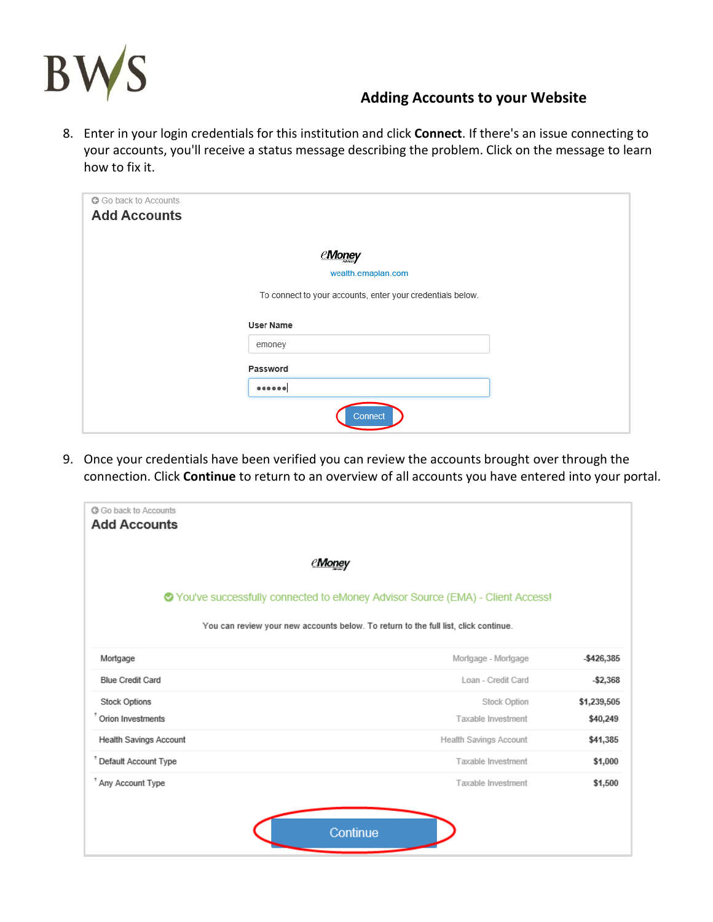

8. Enter in your login credentials for this institution and click **Connect**. If there's an issue connecting to your accounts, you'll receive a status message describing the problem. Click on the message to learn how to fix it.

| G Go back to Accounts<br><b>Add Accounts</b> |                                                            |
|----------------------------------------------|------------------------------------------------------------|
|                                              | <u>eMone</u> y                                             |
|                                              | wealth.emaplan.com                                         |
|                                              | To connect to your accounts, enter your credentials below. |
|                                              | <b>User Name</b>                                           |
|                                              | emoney                                                     |
|                                              | Password                                                   |
|                                              | ******                                                     |
|                                              | Connect                                                    |

9. Once your credentials have been verified you can review the accounts brought over through the connection. Click **Continue** to return to an overview of all accounts you have entered into your portal.

| <b>C</b> Go back to Accounts<br><b>Add Accounts</b>                                                                                                                    |                        |             |
|------------------------------------------------------------------------------------------------------------------------------------------------------------------------|------------------------|-------------|
| <b><i>@Money</i></b>                                                                                                                                                   |                        |             |
| ◆ You've successfully connected to eMoney Advisor Source (EMA) - Client Access!<br>You can review your new accounts below. To return to the full list, click continue. |                        |             |
| Mortgage                                                                                                                                                               | Mortgage - Mortgage    | -\$426,385  |
| <b>Blue Credit Card</b>                                                                                                                                                | Loan - Credit Card     | $-$ \$2,368 |
| <b>Stock Options</b>                                                                                                                                                   | Stock Option           | \$1,239,505 |
| <sup>t</sup> Orion Investments                                                                                                                                         | Taxable Investment     | \$40,249    |
| <b>Health Savings Account</b>                                                                                                                                          | Health Savings Account | \$41,385    |
| <sup>t</sup> Default Account Type                                                                                                                                      | Taxable Investment     | \$1,000     |
| * Any Account Type                                                                                                                                                     | Taxable Investment     | \$1,500     |
| Continue                                                                                                                                                               |                        |             |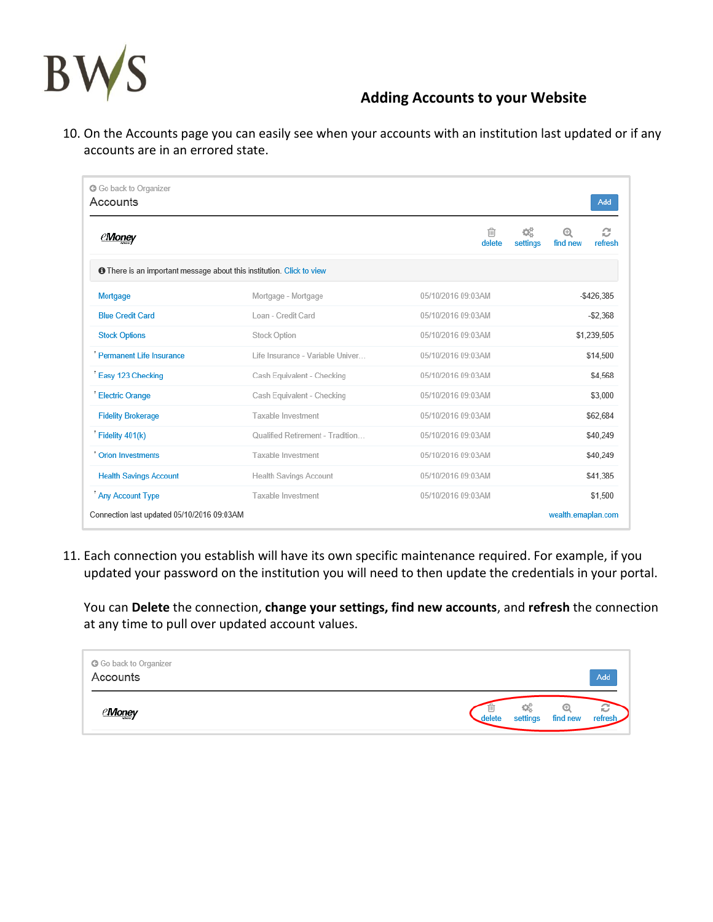

10. On the Accounts page you can easily see when your accounts with an institution last updated or if any accounts are in an errored state.

| G Go back to Organizer<br>Accounts                                           |                                  |                               | Add                           |
|------------------------------------------------------------------------------|----------------------------------|-------------------------------|-------------------------------|
| <b><i>eMoney</i></b>                                                         |                                  | ⋒<br>¢Ë<br>settings<br>delete | c<br>⊕<br>refresh<br>find new |
| <b>O</b> There is an important message about this institution. Click to view |                                  |                               |                               |
| Mortgage                                                                     | Mortgage - Mortgage              | 05/10/2016 09:03AM            | $-$426,385$                   |
| <b>Blue Credit Card</b>                                                      | Loan - Credit Card               | 05/10/2016 09:03AM            | $-52.368$                     |
| <b>Stock Options</b>                                                         | Stock Option                     | 05/10/2016 09:03AM            | \$1,239,505                   |
| <sup>t</sup> Permanent Life Insurance                                        | Life Insurance - Variable Univer | 05/10/2016 09:03AM            | \$14,500                      |
| Easy 123 Checking                                                            | Cash Equivalent - Checking       | 05/10/2016 09:03AM            | \$4,568                       |
| <sup>1</sup> Electric Orange                                                 | Cash Equivalent - Checking       | 05/10/2016 09:03AM            | \$3,000                       |
| <b>Fidelity Brokerage</b>                                                    | Taxable Investment               | 05/10/2016 09:03AM            | \$62,684                      |
| <sup>†</sup> Fidelity 401(k)                                                 | Qualified Retirement - Tradition | 05/10/2016 09:03AM            | \$40,249                      |
| <sup>t</sup> Orion Investments                                               | Taxable Investment               | 05/10/2016 09:03AM            | \$40,249                      |
| <b>Health Savings Account</b>                                                | Health Savings Account           | 05/10/2016 09:03AM            | \$41,385                      |
| <sup>*</sup> Any Account Type                                                | Taxable Investment               | 05/10/2016 09:03AM            | \$1.500                       |
| Connection last updated 05/10/2016 09:03AM                                   |                                  |                               | wealth.emaplan.com            |

11. Each connection you establish will have its own specific maintenance required. For example, if you updated your password on the institution you will need to then update the credentials in your portal.

You can **Delete** the connection, **change your settings, find new accounts**, and **refresh** the connection at any time to pull over updated account values.

| G Go back to Organizer<br>Accounts | Add                                                  |  |
|------------------------------------|------------------------------------------------------|--|
| <u>Mone</u> y                      | 03<br>ĸ<br>find new<br>refresh<br>settings<br>delete |  |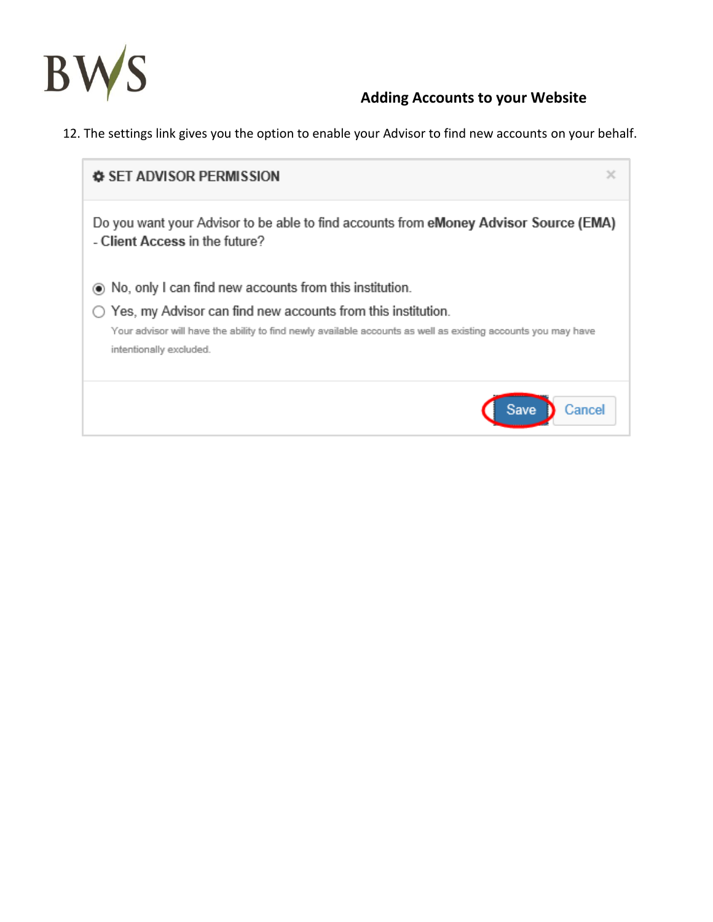

12. The settings link gives you the option to enable your Advisor to find new accounts on your behalf.

| x<br><b>♦ SET ADVISOR PERMISSION</b>                                                                                                                                                                                                                                               |
|------------------------------------------------------------------------------------------------------------------------------------------------------------------------------------------------------------------------------------------------------------------------------------|
| Do you want your Advisor to be able to find accounts from eMoney Advisor Source (EMA)<br>- Client Access in the future?                                                                                                                                                            |
| (a) No, only I can find new accounts from this institution.<br>$\bigcirc$ Yes, my Advisor can find new accounts from this institution.<br>Your advisor will have the ability to find newly available accounts as well as existing accounts you may have<br>intentionally excluded. |
| Save<br>Cancel                                                                                                                                                                                                                                                                     |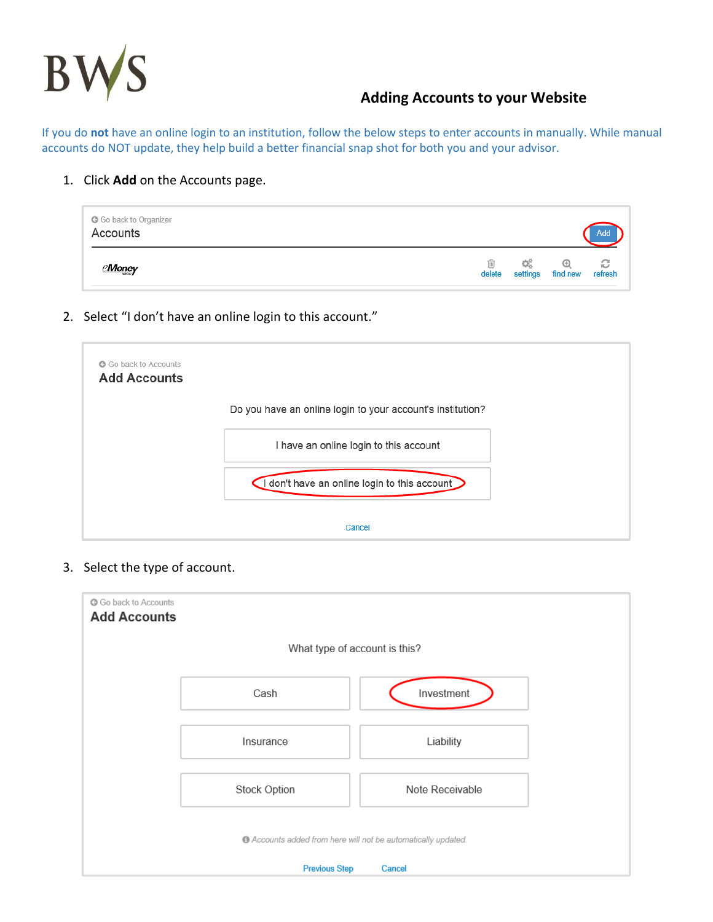

If you do **not** have an online login to an institution, follow the below steps to enter accounts in manually. While manual accounts do NOT update, they help build a better financial snap shot for both you and your advisor.

1. Click **Add** on the Accounts page.

| G Go back to Organizer<br>Accounts |  |                                                      | <b>Add</b> |
|------------------------------------|--|------------------------------------------------------|------------|
| <u>eMone</u> y                     |  | <b>面 3巻 + 0巻</b><br>delete settings find new refresh |            |

2. Select "I don't have an online login to this account."

| G Go back to Accounts<br><b>Add Accounts</b> |                                                            |  |
|----------------------------------------------|------------------------------------------------------------|--|
|                                              | Do you have an online login to your account's institution? |  |
|                                              | I have an online login to this account                     |  |
|                                              | I don't have an online login to this account               |  |
|                                              | Cancel                                                     |  |

3. Select the type of account.

| Go back to Accounts<br><b>Add Accounts</b>                    |              |                 |  |  |  |
|---------------------------------------------------------------|--------------|-----------------|--|--|--|
| What type of account is this?                                 |              |                 |  |  |  |
|                                                               | Cash         | Investment      |  |  |  |
|                                                               | Insurance    | Liability       |  |  |  |
|                                                               | Stock Option | Note Receivable |  |  |  |
| C Accounts added from here will not be automatically updated. |              |                 |  |  |  |
| <b>Previous Step</b><br>Cancel                                |              |                 |  |  |  |